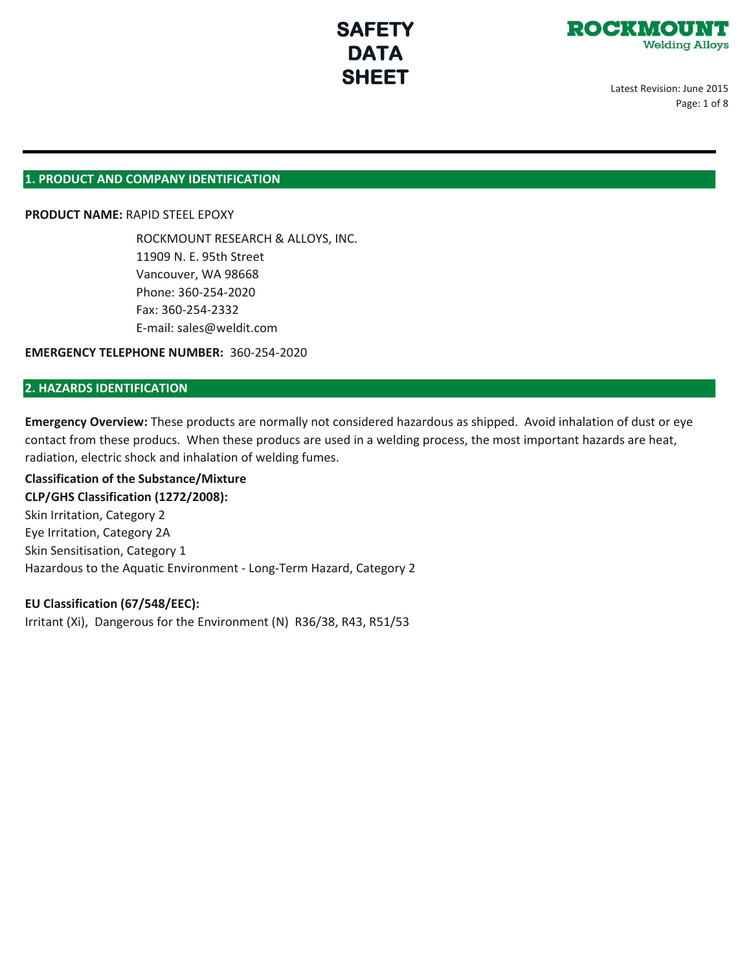

Latest Revision: June 2015 Page: 1 of 8

#### **1. PRODUCT AND COMPANY IDENTIFICATION**

#### **PRODUCT NAME:** RAPID STEEL EPOXY

ROCKMOUNT RESEARCH & ALLOYS, INC. 11909 N. E. 95th Street Vancouver, WA 98668 Phone: 360-254-2020 Fax: 360-254-2332 E-mail: sales@weldit.com

**EMERGENCY TELEPHONE NUMBER:** 360-254-2020

#### **2. HAZARDS IDENTIFICATION**

**Emergency Overview:** These products are normally not considered hazardous as shipped. Avoid inhalation of dust or eye contact from these producs. When these producs are used in a welding process, the most important hazards are heat, radiation, electric shock and inhalation of welding fumes.

#### **Classification of the Substance/Mixture**

#### **CLP/GHS Classification (1272/2008):**

Skin Irritation, Category 2 Eye Irritation, Category 2A Skin Sensitisation, Category 1 Hazardous to the Aquatic Environment - Long-Term Hazard, Category 2

#### **EU Classification (67/548/EEC):**

Irritant (Xi), Dangerous for the Environment (N) R36/38, R43, R51/53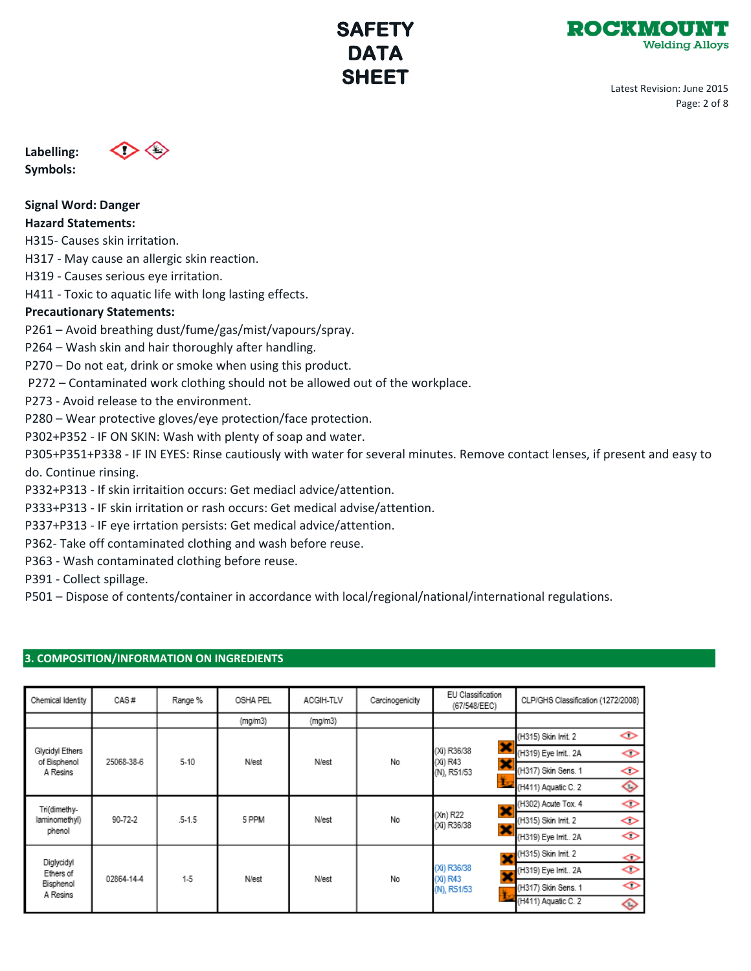

Latest Revision: June 2015 Page: 2 of 8

**Labelling: Symbols:** 



**Signal Word: Danger**

### **Hazard Statements:**

H315- Causes skin irritation.

H317 - May cause an allergic skin reaction.

H319 - Causes serious eye irritation.

H411 - Toxic to aquatic life with long lasting effects.

### **Precautionary Statements:**

P261 – Avoid breathing dust/fume/gas/mist/vapours/spray.

P264 – Wash skin and hair thoroughly after handling.

P270 – Do not eat, drink or smoke when using this product.

P272 – Contaminated work clothing should not be allowed out of the workplace.

P273 - Avoid release to the environment.

P280 – Wear protective gloves/eye protection/face protection.

P302+P352 - IF ON SKIN: Wash with plenty of soap and water.

P305+P351+P338 - IF IN EYES: Rinse cautiously with water for several minutes. Remove contact lenses, if present and easy to do. Continue rinsing.

P332+P313 - If skin irritaition occurs: Get mediacl advice/attention.

P333+P313 - IF skin irritation or rash occurs: Get medical advise/attention.

P337+P313 - IF eye irrtation persists: Get medical advice/attention.

P362- Take off contaminated clothing and wash before reuse.

P363 - Wash contaminated clothing before reuse.

P391 - Collect spillage.

P501 – Dispose of contents/container in accordance with local/regional/national/international regulations.

### **3. COMPOSITION/INFORMATION ON INGREDIENTS**

| Chemical Identity                                | CAS#       | Range %    | OSHA PEL | ACGIH-TLV    | Carcinogenicity | EU Classification<br>(67/548/EEC)                                 | CLP/GHS Classification (1272/2008)       |
|--------------------------------------------------|------------|------------|----------|--------------|-----------------|-------------------------------------------------------------------|------------------------------------------|
|                                                  |            |            | (mg/m3)  | (mg/m3)      |                 |                                                                   |                                          |
| Glycidyl Ethers<br>of Bisphenol<br>A Resins      | 25068-38-6 | $5-10$     | N/est    | <b>N/est</b> | No              | ×<br>(Xi) R36/38<br>(Xi) R43<br>×<br>(N), R51/53                  | ◇<br>(H315) Skin Init. 2                 |
|                                                  |            |            |          |              |                 |                                                                   | (H319) Eye Irrit 2A<br>◇                 |
|                                                  |            |            |          |              |                 |                                                                   | (H317) Skin Sens. 1<br>◇                 |
|                                                  |            |            |          |              |                 |                                                                   | ◇<br>(H411) Aquatic C. 2                 |
| Tri(dimethy-<br>laminomethyl)<br>phenol          | 90-72-2    | $.5 - 1.5$ | 5 PPM    | N/est        | No              | ×<br>(Xn) R22<br>(Xi) R36/38<br>×                                 | ◇<br>(H302) Acute Tox. 4                 |
|                                                  |            |            |          |              |                 |                                                                   | (H315) Skin Init. 2<br>◇                 |
|                                                  |            |            |          |              |                 |                                                                   | ◇<br>(H319) Eye Irrit 2A                 |
| Diglycidyl<br>Ethers of<br>Bisphenol<br>A Resins | 02864-14-4 | $1-5$      | N/est    | N/est        | No              | $\overline{\mathbf{y}}$<br>(Xi) R36/38<br>(Xi) R43<br>(N), R51/53 | (H315) Skin Init. 2<br>չ                 |
|                                                  |            |            |          |              |                 |                                                                   | ◇<br>(H319) Eye Irrit 2A                 |
|                                                  |            |            |          |              |                 |                                                                   | $\Leftrightarrow$<br>(H317) Skin Sens. 1 |
|                                                  |            |            |          |              |                 |                                                                   | (H411) Aquatic C. 2<br>◇                 |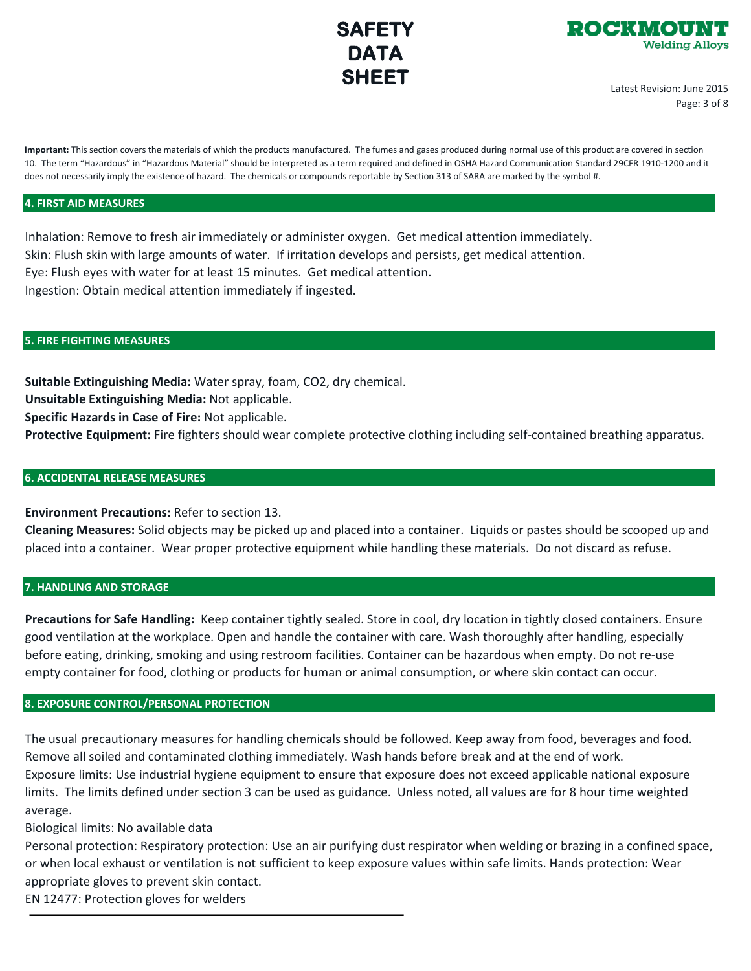



Latest Revision: June 2015 Page: 3 of 8

**Important:** This section covers the materials of which the products manufactured. The fumes and gases produced during normal use of this product are covered in section 10. The term "Hazardous" in "Hazardous Material" should be interpreted as a term required and defined in OSHA Hazard Communication Standard 29CFR 1910-1200 and it does not necessarily imply the existence of hazard. The chemicals or compounds reportable by Section 313 of SARA are marked by the symbol #.

#### **4. FIRST AID MEASURES**

Inhalation: Remove to fresh air immediately or administer oxygen. Get medical attention immediately. Skin: Flush skin with large amounts of water. If irritation develops and persists, get medical attention. Eye: Flush eyes with water for at least 15 minutes. Get medical attention. Ingestion: Obtain medical attention immediately if ingested.

#### **5. FIRE FIGHTING MEASURES**

**Suitable Extinguishing Media:** Water spray, foam, CO2, dry chemical. **Unsuitable Extinguishing Media:** Not applicable. **Specific Hazards in Case of Fire:** Not applicable.

**Protective Equipment:** Fire fighters should wear complete protective clothing including self-contained breathing apparatus.

#### **6. ACCIDENTAL RELEASE MEASURES**

**Environment Precautions:** Refer to section 13.

**Cleaning Measures:** Solid objects may be picked up and placed into a container. Liquids or pastes should be scooped up and placed into a container. Wear proper protective equipment while handling these materials. Do not discard as refuse.

#### **7. HANDLING AND STORAGE**

**Precautions for Safe Handling:** Keep container tightly sealed. Store in cool, dry location in tightly closed containers. Ensure good ventilation at the workplace. Open and handle the container with care. Wash thoroughly after handling, especially before eating, drinking, smoking and using restroom facilities. Container can be hazardous when empty. Do not re-use empty container for food, clothing or products for human or animal consumption, or where skin contact can occur.

#### **8. EXPOSURE CONTROL/PERSONAL PROTECTION**

The usual precautionary measures for handling chemicals should be followed. Keep away from food, beverages and food. Remove all soiled and contaminated clothing immediately. Wash hands before break and at the end of work. Exposure limits: Use industrial hygiene equipment to ensure that exposure does not exceed applicable national exposure limits. The limits defined under section 3 can be used as guidance. Unless noted, all values are for 8 hour time weighted average.

Biological limits: No available data

Personal protection: Respiratory protection: Use an air purifying dust respirator when welding or brazing in a confined space, or when local exhaust or ventilation is not sufficient to keep exposure values within safe limits. Hands protection: Wear appropriate gloves to prevent skin contact.

EN 12477: Protection gloves for welders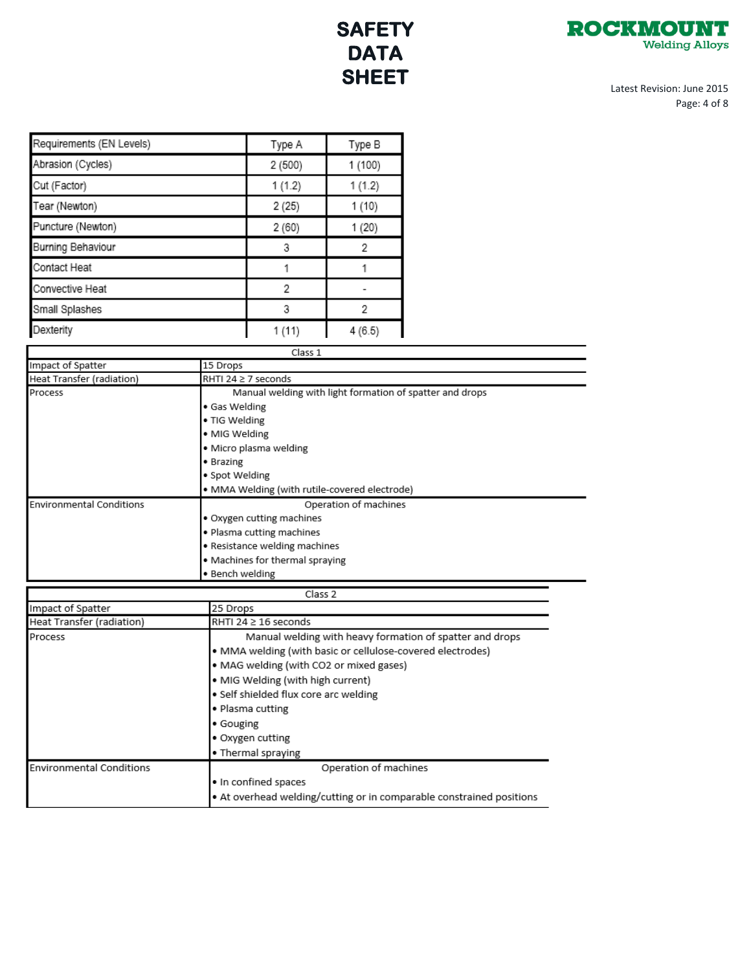

Latest Revision: June 2015 Page: 4 of 8

| Requirements (EN Levels) | Type A  | Type B  |
|--------------------------|---------|---------|
| Abrasion (Cycles)        | 2(500)  | 1 (100) |
| Cut (Factor)             | 1(1.2)  | 1(1.2)  |
| Tear (Newton)            | 2(25)   | 1 (10)  |
| Puncture (Newton)        | 2(60)   | 1 (20)  |
| Burning Behaviour        | 3       | 2       |
| Contact Heat             |         |         |
| Convective Heat          | 2       |         |
| Small Splashes           | 3       | 2       |
| Dexterity                | 1(11)   | 4(6.5)  |
|                          | Class 1 |         |

| Impact of Spatter         | 15 Drops                                                 |
|---------------------------|----------------------------------------------------------|
| Heat Transfer (radiation) | RHTI 24 ≥ 7 seconds                                      |
| Process                   | Manual welding with light formation of spatter and drops |
|                           | • Gas Welding                                            |
|                           | • TIG Welding                                            |
|                           | • MIG Welding                                            |
|                           | · Micro plasma welding                                   |
|                           | • Brazing                                                |
|                           | · Spot Welding                                           |

|                                 | . DI GEILIE                                   |  |  |
|---------------------------------|-----------------------------------------------|--|--|
|                                 | · Spot Welding                                |  |  |
|                                 | • MMA Welding (with rutile-covered electrode) |  |  |
| <b>Environmental Conditions</b> | Operation of machines                         |  |  |
|                                 | Oxygen cutting machines                       |  |  |
|                                 | . Plasma cutting machines                     |  |  |
|                                 | . Resistance welding machines                 |  |  |
|                                 | • Machines for thermal spraying               |  |  |
|                                 | · Bench welding                               |  |  |

| Class 2                         |                                                                        |  |  |
|---------------------------------|------------------------------------------------------------------------|--|--|
| Impact of Spatter               | 25 Drops                                                               |  |  |
| Heat Transfer (radiation)       | RHTI 24 $\geq$ 16 seconds                                              |  |  |
| Process                         | Manual welding with heavy formation of spatter and drops               |  |  |
|                                 | • MMA welding (with basic or cellulose-covered electrodes)             |  |  |
|                                 | · MAG welding (with CO2 or mixed gases)                                |  |  |
|                                 | • MIG Welding (with high current)                                      |  |  |
|                                 | • Self shielded flux core arc welding<br>• Plasma cutting<br>• Gouging |  |  |
|                                 |                                                                        |  |  |
|                                 |                                                                        |  |  |
|                                 | • Oxygen cutting                                                       |  |  |
|                                 | • Thermal spraying                                                     |  |  |
| <b>Environmental Conditions</b> | Operation of machines                                                  |  |  |
|                                 | . In confined spaces                                                   |  |  |
|                                 | • At overhead welding/cutting or in comparable constrained positions   |  |  |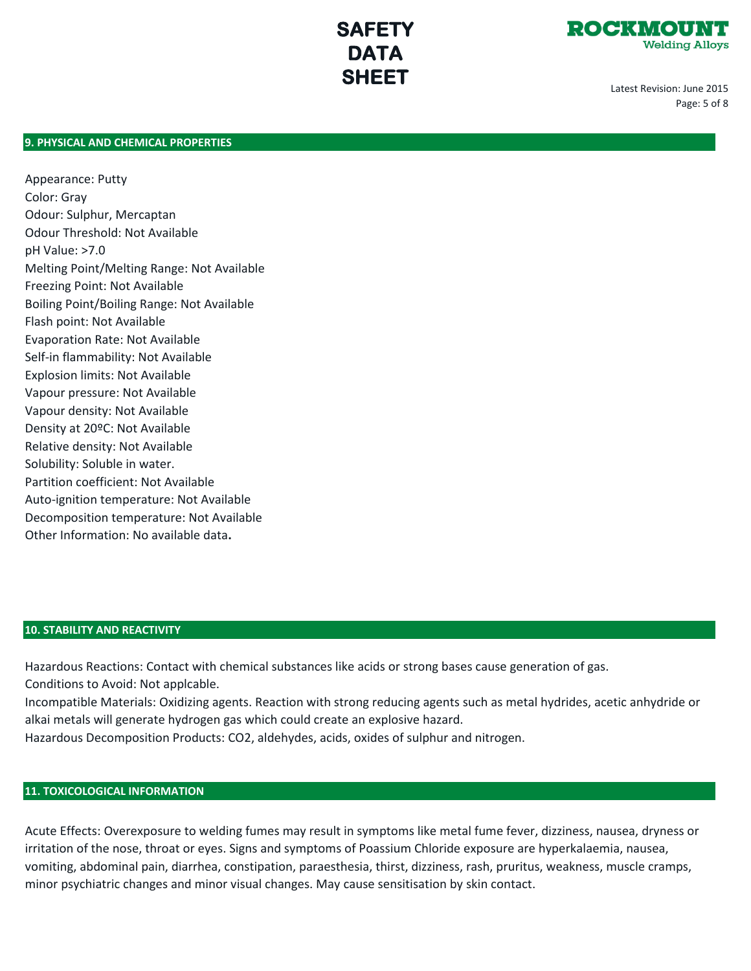

Latest Revision: June 2015 Page: 5 of 8

#### **9. PHYSICAL AND CHEMICAL PROPERTIES**

Appearance: Putty Color: Gray Odour: Sulphur, Mercaptan Odour Threshold: Not Available pH Value: >7.0 Melting Point/Melting Range: Not Available Freezing Point: Not Available Boiling Point/Boiling Range: Not Available Flash point: Not Available Evaporation Rate: Not Available Self-in flammability: Not Available Explosion limits: Not Available Vapour pressure: Not Available Vapour density: Not Available Density at 20ºC: Not Available Relative density: Not Available Solubility: Soluble in water. Partition coefficient: Not Available Auto-ignition temperature: Not Available Decomposition temperature: Not Available Other Information: No available data**.**

#### **10. STABILITY AND REACTIVITY**

Hazardous Reactions: Contact with chemical substances like acids or strong bases cause generation of gas. Conditions to Avoid: Not applcable.

Incompatible Materials: Oxidizing agents. Reaction with strong reducing agents such as metal hydrides, acetic anhydride or alkai metals will generate hydrogen gas which could create an explosive hazard.

Hazardous Decomposition Products: CO2, aldehydes, acids, oxides of sulphur and nitrogen.

#### **11. TOXICOLOGICAL INFORMATION**

Acute Effects: Overexposure to welding fumes may result in symptoms like metal fume fever, dizziness, nausea, dryness or irritation of the nose, throat or eyes. Signs and symptoms of Poassium Chloride exposure are hyperkalaemia, nausea, vomiting, abdominal pain, diarrhea, constipation, paraesthesia, thirst, dizziness, rash, pruritus, weakness, muscle cramps, minor psychiatric changes and minor visual changes. May cause sensitisation by skin contact.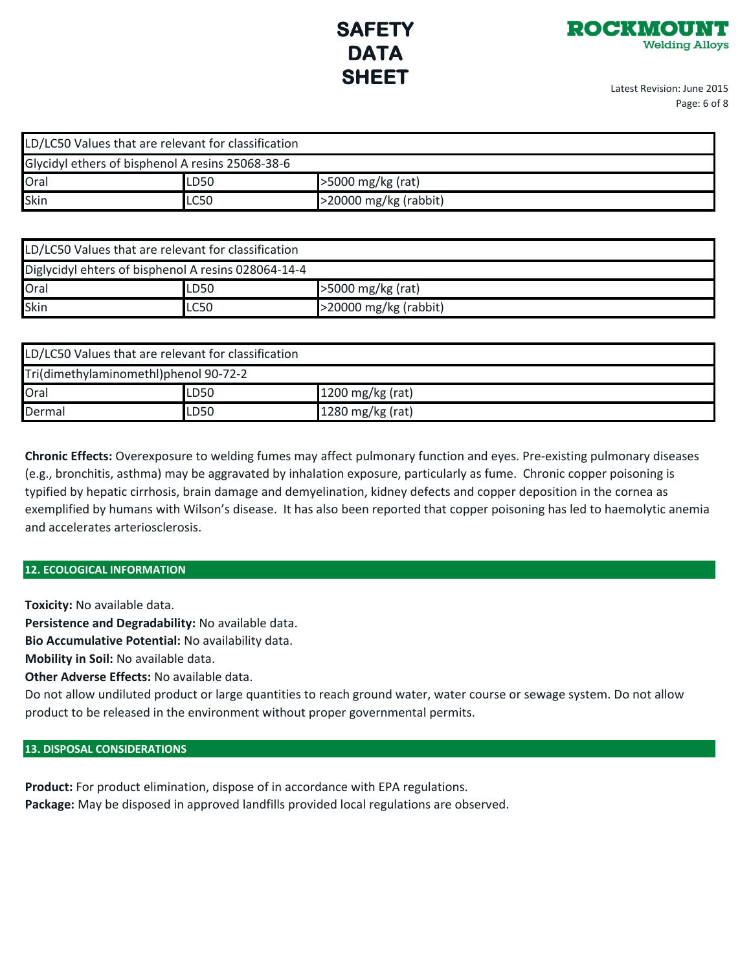

Latest Revision: June 2015 Page: 6 of 8

| LD/LC50 Values that are relevant for classification |             |                          |  |
|-----------------------------------------------------|-------------|--------------------------|--|
| Glycidyl ethers of bisphenol A resins 25068-38-6    |             |                          |  |
| Oral                                                | LD50        | >5000 mg/kg (rat)        |  |
| Skin                                                | <b>LC50</b> | $>$ 20000 mg/kg (rabbit) |  |

| LD/LC50 Values that are relevant for classification |      |                          |  |
|-----------------------------------------------------|------|--------------------------|--|
| Diglycidyl ehters of bisphenol A resins 028064-14-4 |      |                          |  |
| Oral                                                | LD50 | >5000 mg/kg (rat)        |  |
| Skin                                                | LC50 | $>$ 20000 mg/kg (rabbit) |  |

| LD/LC50 Values that are relevant for classification |      |                  |  |
|-----------------------------------------------------|------|------------------|--|
| Tri(dimethylaminomethl)phenol 90-72-2               |      |                  |  |
| Oral                                                | LD50 | 1200 mg/kg (rat) |  |
| Dermal                                              | LD50 | 1280 mg/kg (rat) |  |

**Chronic Effects:** Overexposure to welding fumes may affect pulmonary function and eyes. Pre-existing pulmonary diseases (e.g., bronchitis, asthma) may be aggravated by inhalation exposure, particularly as fume. Chronic copper poisoning is typified by hepatic cirrhosis, brain damage and demyelination, kidney defects and copper deposition in the cornea as exemplified by humans with Wilson's disease. It has also been reported that copper poisoning has led to haemolytic anemia and accelerates arteriosclerosis.

#### **12. ECOLOGICAL INFORMATION**

**Toxicity:** No available data.

**Persistence and Degradability:** No available data.

**Bio Accumulative Potential:** No availability data.

**Mobility in Soil:** No available data.

**Other Adverse Effects:** No available data.

Do not allow undiluted product or large quantities to reach ground water, water course or sewage system. Do not allow product to be released in the environment without proper governmental permits.

#### **13. DISPOSAL CONSIDERATIONS**

**Product:** For product elimination, dispose of in accordance with EPA regulations. **Package:** May be disposed in approved landfills provided local regulations are observed.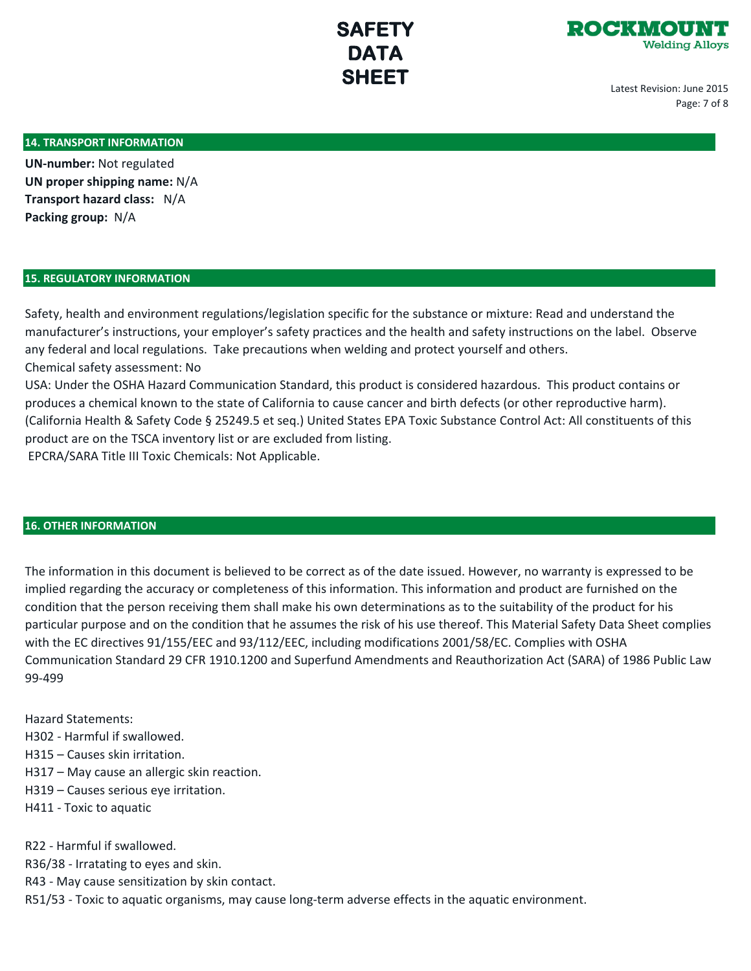



Latest Revision: June 2015 Page: 7 of 8

#### **14. TRANSPORT INFORMATION**

**UN-number:** Not regulated **UN proper shipping name:** N/A **Transport hazard class:** N/A **Packing group:** N/A

#### **15. REGULATORY INFORMATION**

Safety, health and environment regulations/legislation specific for the substance or mixture: Read and understand the manufacturer's instructions, your employer's safety practices and the health and safety instructions on the label. Observe any federal and local regulations. Take precautions when welding and protect yourself and others. Chemical safety assessment: No

USA: Under the OSHA Hazard Communication Standard, this product is considered hazardous. This product contains or produces a chemical known to the state of California to cause cancer and birth defects (or other reproductive harm). (California Health & Safety Code § 25249.5 et seq.) United States EPA Toxic Substance Control Act: All constituents of this product are on the TSCA inventory list or are excluded from listing. EPCRA/SARA Title III Toxic Chemicals: Not Applicable.

#### **16. OTHER INFORMATION**

The information in this document is believed to be correct as of the date issued. However, no warranty is expressed to be implied regarding the accuracy or completeness of this information. This information and product are furnished on the condition that the person receiving them shall make his own determinations as to the suitability of the product for his particular purpose and on the condition that he assumes the risk of his use thereof. This Material Safety Data Sheet complies with the EC directives 91/155/EEC and 93/112/EEC, including modifications 2001/58/EC. Complies with OSHA Communication Standard 29 CFR 1910.1200 and Superfund Amendments and Reauthorization Act (SARA) of 1986 Public Law 99-499

Hazard Statements:

- H302 Harmful if swallowed.
- H315 Causes skin irritation.
- H317 May cause an allergic skin reaction.
- H319 Causes serious eye irritation.
- H411 Toxic to aquatic

R22 - Harmful if swallowed.

- R36/38 Irratating to eyes and skin.
- R43 May cause sensitization by skin contact.
- R51/53 Toxic to aquatic organisms, may cause long-term adverse effects in the aquatic environment.